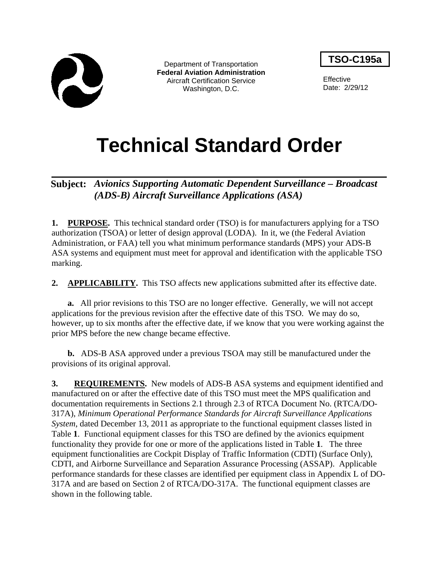

Department of Transportation **Federal Aviation Administration** Aircraft Certification Service Washington, D.C.

**TSO-C195a**

**Effective** Date: 2/29/12

# **Technical Standard Order**

# **Subject:** *Avionics Supporting Automatic Dependent Surveillance – Broadcast (ADS-B) Aircraft Surveillance Applications (ASA)*

**1. PURPOSE.** This technical standard order (TSO) is for manufacturers applying for a TSO authorization (TSOA) or letter of design approval (LODA). In it, we (the Federal Aviation Administration, or FAA) tell you what minimum performance standards (MPS) your ADS-B ASA systems and equipment must meet for approval and identification with the applicable TSO marking.

2. **APPLICABILITY.** This TSO affects new applications submitted after its effective date.

**a.** All prior revisions to this TSO are no longer effective. Generally, we will not accept applications for the previous revision after the effective date of this TSO. We may do so, however, up to six months after the effective date, if we know that you were working against the prior MPS before the new change became effective.

**b.** ADS-B ASA approved under a previous TSOA may still be manufactured under the provisions of its original approval.

**3. REQUIREMENTS.** New models of ADS-B ASA systems and equipment identified and manufactured on or after the effective date of this TSO must meet the MPS qualification and documentation requirements in Sections 2.1 through 2.3 of RTCA Document No. (RTCA/DO-317A), *Minimum Operational Performance Standards for Aircraft Surveillance Applications System*, dated December 13, 2011 as appropriate to the functional equipment classes listed in Table **1**. Functional equipment classes for this TSO are defined by the avionics equipment functionality they provide for one or more of the applications listed in Table **1**. The three equipment functionalities are Cockpit Display of Traffic Information (CDTI) (Surface Only), CDTI, and Airborne Surveillance and Separation Assurance Processing (ASSAP). Applicable performance standards for these classes are identified per equipment class in Appendix L of DO-317A and are based on Section 2 of RTCA/DO-317A. The functional equipment classes are shown in the following table.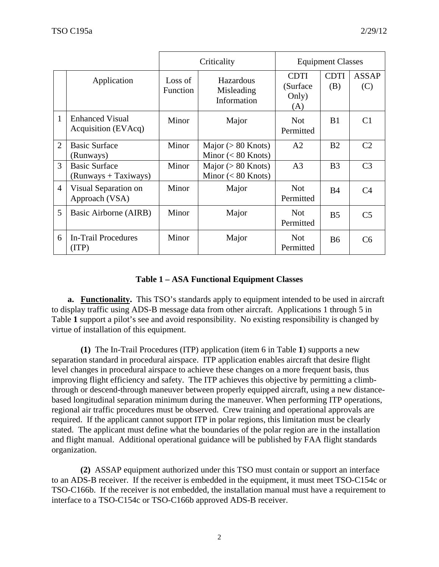|                |                                                | Criticality                |                                               |                                         | <b>Equipment Classes</b> |                     |  |
|----------------|------------------------------------------------|----------------------------|-----------------------------------------------|-----------------------------------------|--------------------------|---------------------|--|
|                | Application                                    | Loss of<br><b>Function</b> | Hazardous<br>Misleading<br>Information        | <b>CDTI</b><br>(Surface<br>Only)<br>(A) | <b>CDTI</b><br>(B)       | <b>ASSAP</b><br>(C) |  |
| 1              | <b>Enhanced Visual</b><br>Acquisition (EVAcq)  | Minor                      | Major                                         | <b>Not</b><br>Permitted                 | B1                       | C <sub>1</sub>      |  |
| $\overline{2}$ | <b>Basic Surface</b><br>(Runways)              | Minor                      | Major ( $> 80$ Knots)<br>Minor $(< 80$ Knots) | A <sub>2</sub>                          | B <sub>2</sub>           | C <sub>2</sub>      |  |
| 3              | <b>Basic Surface</b><br>$(Runways + Taxiways)$ | Minor                      | Major ( $> 80$ Knots)<br>Minor $(< 80$ Knots) | A <sub>3</sub>                          | B <sub>3</sub>           | C <sub>3</sub>      |  |
| $\overline{4}$ | Visual Separation on<br>Approach (VSA)         | Minor                      | Major                                         | <b>Not</b><br>Permitted                 | <b>B4</b>                | C <sub>4</sub>      |  |
| 5              | Basic Airborne (AIRB)                          | Minor                      | Major                                         | <b>Not</b><br>Permitted                 | B <sub>5</sub>           | C <sub>5</sub>      |  |
| 6              | <b>In-Trail Procedures</b><br>(TTP)            | Minor                      | Major                                         | <b>Not</b><br>Permitted                 | <b>B6</b>                | C <sub>6</sub>      |  |

# **Table 1 – ASA Functional Equipment Classes**

**a. Functionality.** This TSO's standards apply to equipment intended to be used in aircraft to display traffic using ADS-B message data from other aircraft. Applications 1 through 5 in Table **1** support a pilot's see and avoid responsibility. No existing responsibility is changed by virtue of installation of this equipment.

**(1)** The In-Trail Procedures (ITP) application (item 6 in Table **1**) supports a new separation standard in procedural airspace. ITP application enables aircraft that desire flight level changes in procedural airspace to achieve these changes on a more frequent basis, thus improving flight efficiency and safety. The ITP achieves this objective by permitting a climbthrough or descend-through maneuver between properly equipped aircraft, using a new distancebased longitudinal separation minimum during the maneuver. When performing ITP operations, regional air traffic procedures must be observed. Crew training and operational approvals are required. If the applicant cannot support ITP in polar regions, this limitation must be clearly stated. The applicant must define what the boundaries of the polar region are in the installation and flight manual. Additional operational guidance will be published by FAA flight standards organization.

**(2)** ASSAP equipment authorized under this TSO must contain or support an interface to an ADS-B receiver. If the receiver is embedded in the equipment, it must meet TSO-C154c or TSO-C166b. If the receiver is not embedded, the installation manual must have a requirement to interface to a TSO-C154c or TSO-C166b approved ADS-B receiver.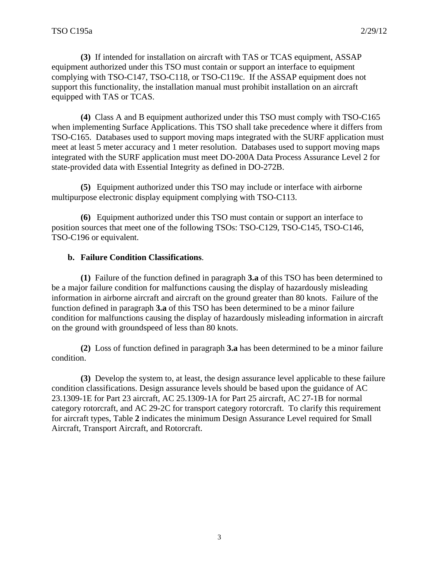**(3)** If intended for installation on aircraft with TAS or TCAS equipment, ASSAP equipment authorized under this TSO must contain or support an interface to equipment complying with TSO-C147, TSO-C118, or TSO-C119c. If the ASSAP equipment does not support this functionality, the installation manual must prohibit installation on an aircraft equipped with TAS or TCAS.

**(4)** Class A and B equipment authorized under this TSO must comply with TSO-C165 when implementing Surface Applications. This TSO shall take precedence where it differs from TSO-C165. Databases used to support moving maps integrated with the SURF application must meet at least 5 meter accuracy and 1 meter resolution. Databases used to support moving maps integrated with the SURF application must meet DO-200A Data Process Assurance Level 2 for state-provided data with Essential Integrity as defined in DO-272B.

**(5)** Equipment authorized under this TSO may include or interface with airborne multipurpose electronic display equipment complying with TSO-C113.

**(6)** Equipment authorized under this TSO must contain or support an interface to position sources that meet one of the following TSOs: TSO-C129, TSO-C145, TSO-C146, TSO-C196 or equivalent.

## **b. Failure Condition Classifications**.

**(1)** Failure of the function defined in paragraph **3.a** of this TSO has been determined to be a major failure condition for malfunctions causing the display of hazardously misleading information in airborne aircraft and aircraft on the ground greater than 80 knots. Failure of the function defined in paragraph **3.a** of this TSO has been determined to be a minor failure condition for malfunctions causing the display of hazardously misleading information in aircraft on the ground with groundspeed of less than 80 knots.

**(2)** Loss of function defined in paragraph **3.a** has been determined to be a minor failure condition.

**(3)** Develop the system to, at least, the design assurance level applicable to these failure condition classifications. Design assurance levels should be based upon the guidance of AC 23.1309-1E for Part 23 aircraft, AC 25.1309-1A for Part 25 aircraft, AC 27-1B for normal category rotorcraft, and AC 29-2C for transport category rotorcraft. To clarify this requirement for aircraft types, Table **2** indicates the minimum Design Assurance Level required for Small Aircraft, Transport Aircraft, and Rotorcraft.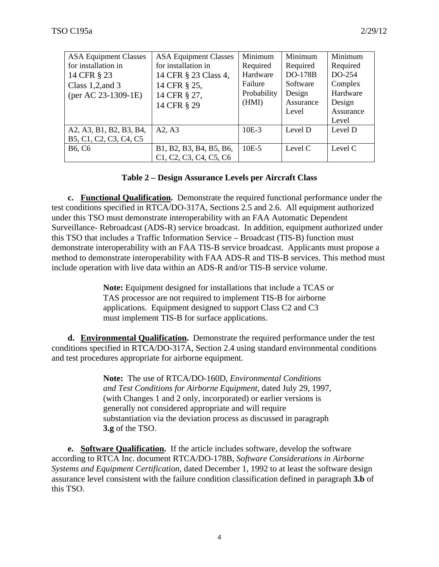| <b>ASA Equipment Classes</b>                                                                 | <b>ASA Equipment Classes</b>                                                                                                   | Minimum                                        | Minimum                                          | Minimum                                   |
|----------------------------------------------------------------------------------------------|--------------------------------------------------------------------------------------------------------------------------------|------------------------------------------------|--------------------------------------------------|-------------------------------------------|
| for installation in<br>14 CFR § 23<br>Class $1,2$ , and $3$<br>$(\text{per AC } 23-1309-1E)$ | for installation in<br>14 CFR § 23 Class 4,<br>14 CFR § 25,<br>14 CFR § 27,                                                    | Required<br>Hardware<br>Failure<br>Probability | Required<br><b>DO-178B</b><br>Software<br>Design | Required<br>DO-254<br>Complex<br>Hardware |
|                                                                                              | 14 CFR § 29                                                                                                                    | (HMI)                                          | Assurance<br>Level                               | Design<br>Assurance<br>Level              |
| A2, A3, B1, B2, B3, B4,<br>B5, C1, C2, C3, C4, C5                                            | A2, A3                                                                                                                         | $10E-3$                                        | Level D                                          | Level D                                   |
| <b>B6, C6</b>                                                                                | B1, B2, B3, B4, B5, B6,<br>C <sub>1</sub> , C <sub>2</sub> , C <sub>3</sub> , C <sub>4</sub> , C <sub>5</sub> , C <sub>6</sub> | $10E-5$                                        | Level C                                          | Level C                                   |

#### **Table 2 – Design Assurance Levels per Aircraft Class**

**c. Functional Qualification.** Demonstrate the required functional performance under the test conditions specified in RTCA/DO-317A, Sections 2.5 and 2.6. All equipment authorized under this TSO must demonstrate interoperability with an FAA Automatic Dependent Surveillance- Rebroadcast (ADS-R) service broadcast.In addition, equipment authorized under this TSO that includes a Traffic Information Service – Broadcast (TIS-B) function must demonstrate interoperability with an FAA TIS-B service broadcast. Applicants must propose a method to demonstrate interoperability with FAA ADS-R and TIS-B services. This method must include operation with live data within an ADS-R and/or TIS-B service volume.

> **Note:** Equipment designed for installations that include a TCAS or TAS processor are not required to implement TIS-B for airborne applications. Equipment designed to support Class C2 and C3 must implement TIS-B for surface applications.

**d. Environmental Qualification.** Demonstrate the required performance under the test conditions specified in RTCA/DO-317A, Section 2.4 using standard environmental conditions and test procedures appropriate for airborne equipment.

> **Note:** The use of RTCA/DO-160D, *Environmental Conditions and Test Conditions for Airborne Equipment*, dated July 29, 1997, (with Changes 1 and 2 only, incorporated) or earlier versions is generally not considered appropriate and will require substantiation via the deviation process as discussed in paragraph **3.g** of the TSO.

**e. Software Qualification.** If the article includes software, develop the software according to RTCA Inc. document RTCA/DO-178B, *Software Considerations in Airborne Systems and Equipment Certification*, dated December 1, 1992 to at least the software design assurance level consistent with the failure condition classification defined in paragraph **3.b** of this TSO.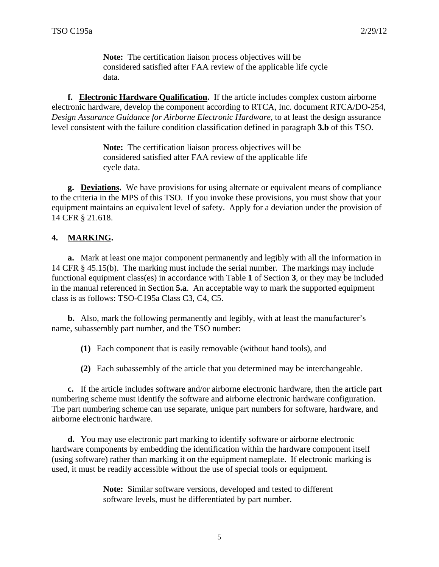**Note:** The certification liaison process objectives will be considered satisfied after FAA review of the applicable life cycle data.

 **f. Electronic Hardware Qualification.** If the article includes complex custom airborne electronic hardware, develop the component according to RTCA, Inc. document RTCA/DO-254, *Design Assurance Guidance for Airborne Electronic Hardware*, to at least the design assurance level consistent with the failure condition classification defined in paragraph **3.b** of this TSO.

> **Note:** The certification liaison process objectives will be considered satisfied after FAA review of the applicable life cycle data.

**g. Deviations.** We have provisions for using alternate or equivalent means of compliance to the criteria in the MPS of this TSO. If you invoke these provisions, you must show that your equipment maintains an equivalent level of safety. Apply for a deviation under the provision of 14 CFR § 21.618.

## **4. MARKING.**

**a.** Mark at least one major component permanently and legibly with all the information in 14 CFR § 45.15(b). The marking must include the serial number. The markings may include functional equipment class(es) in accordance with Table **1** of Section **3**, or they may be included in the manual referenced in Section **5.a**. An acceptable way to mark the supported equipment class is as follows: TSO-C195a Class C3, C4, C5.

**b.** Also, mark the following permanently and legibly, with at least the manufacturer's name, subassembly part number, and the TSO number:

**(1)** Each component that is easily removable (without hand tools), and

**(2)** Each subassembly of the article that you determined may be interchangeable.

 **c.** If the article includes software and/or airborne electronic hardware, then the article part numbering scheme must identify the software and airborne electronic hardware configuration. The part numbering scheme can use separate, unique part numbers for software, hardware, and airborne electronic hardware.

**d.** You may use electronic part marking to identify software or airborne electronic hardware components by embedding the identification within the hardware component itself (using software) rather than marking it on the equipment nameplate. If electronic marking is used, it must be readily accessible without the use of special tools or equipment.

> **Note:** Similar software versions, developed and tested to different software levels, must be differentiated by part number.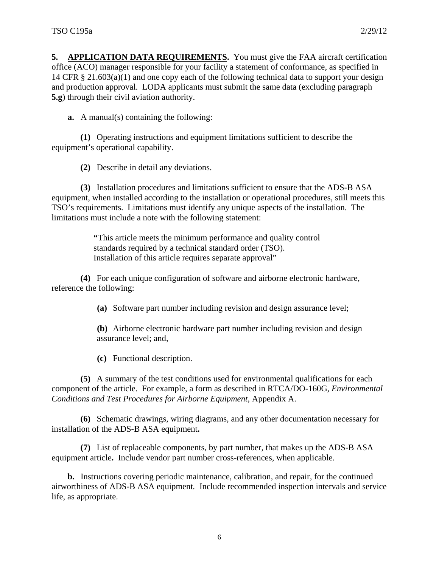**5. APPLICATION DATA REQUIREMENTS.** You must give the FAA aircraft certification office (ACO) manager responsible for your facility a statement of conformance, as specified in 14 CFR § 21.603(a)(1) and one copy each of the following technical data to support your design and production approval. LODA applicants must submit the same data (excluding paragraph **5.g**) through their civil aviation authority.

**a.** A manual(s) containing the following:

**(1)** Operating instructions and equipment limitations sufficient to describe the equipment's operational capability.

**(2)** Describe in detail any deviations.

**(3)** Installation procedures and limitations sufficient to ensure that the ADS-B ASA equipment, when installed according to the installation or operational procedures, still meets this TSO's requirements. Limitations must identify any unique aspects of the installation. The limitations must include a note with the following statement:

> **"**This article meets the minimum performance and quality control standards required by a technical standard order (TSO). Installation of this article requires separate approval"

**(4)** For each unique configuration of software and airborne electronic hardware, reference the following:

**(a)** Software part number including revision and design assurance level;

**(b)** Airborne electronic hardware part number including revision and design assurance level; and,

**(c)** Functional description.

**(5)** A summary of the test conditions used for environmental qualifications for each component of the article. For example, a form as described in RTCA/DO-160G*, Environmental Conditions and Test Procedures for Airborne Equipment,* Appendix A.

**(6)** Schematic drawings, wiring diagrams, and any other documentation necessary for installation of the ADS-B ASA equipment**.** 

**(7)** List of replaceable components, by part number, that makes up the ADS-B ASA equipment article**.** Include vendor part number cross-references, when applicable.

**b.** Instructions covering periodic maintenance, calibration, and repair, for the continued airworthiness of ADS-B ASA equipment*.* Include recommended inspection intervals and service life, as appropriate.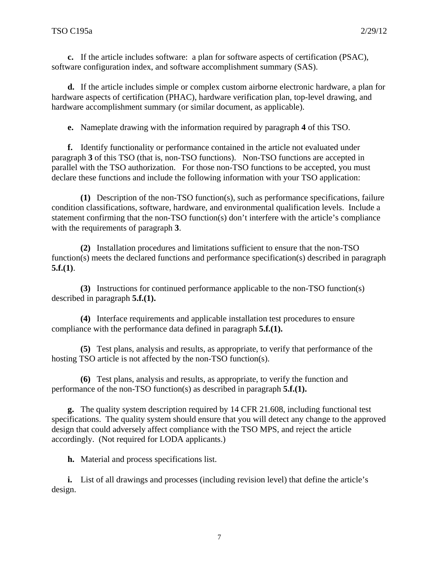**c.** If the article includes software: a plan for software aspects of certification (PSAC), software configuration index, and software accomplishment summary (SAS).

**d.** If the article includes simple or complex custom airborne electronic hardware, a plan for hardware aspects of certification (PHAC), hardware verification plan, top-level drawing, and hardware accomplishment summary (or similar document, as applicable).

**e.** Nameplate drawing with the information required by paragraph **4** of this TSO.

**f.** Identify functionality or performance contained in the article not evaluated under paragraph **3** of this TSO (that is, non-TSO functions). Non-TSO functions are accepted in parallel with the TSO authorization. For those non-TSO functions to be accepted, you must declare these functions and include the following information with your TSO application:

**(1)** Description of the non-TSO function(s), such as performance specifications, failure condition classifications, software, hardware, and environmental qualification levels. Include a statement confirming that the non-TSO function(s) don't interfere with the article's compliance with the requirements of paragraph **3**.

**(2)** Installation procedures and limitations sufficient to ensure that the non-TSO function(s) meets the declared functions and performance specification(s) described in paragraph **5.f.(1)**.

**(3)** Instructions for continued performance applicable to the non-TSO function(s) described in paragraph **5.f.(1).** 

**(4)** Interface requirements and applicable installation test procedures to ensure compliance with the performance data defined in paragraph **5.f.(1).** 

**(5)** Test plans, analysis and results, as appropriate, to verify that performance of the hosting TSO article is not affected by the non-TSO function(s).

**(6)** Test plans, analysis and results, as appropriate, to verify the function and performance of the non-TSO function(s) as described in paragraph **5.f.(1).** 

**g.** The quality system description required by 14 CFR 21.608, including functional test specifications. The quality system should ensure that you will detect any change to the approved design that could adversely affect compliance with the TSO MPS, and reject the article accordingly. (Not required for LODA applicants.)

**h.** Material and process specifications list.

**i.** List of all drawings and processes (including revision level) that define the article's design.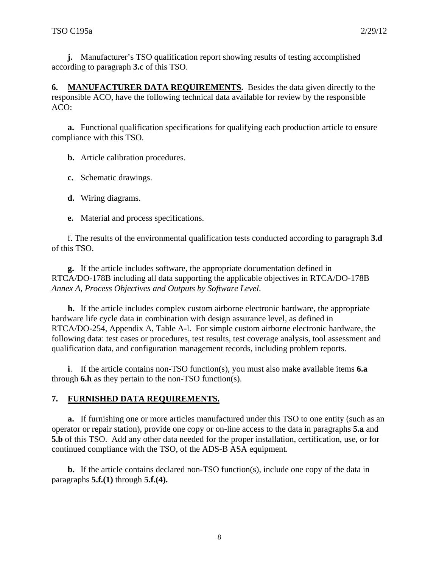**j.** Manufacturer's TSO qualification report showing results of testing accomplished according to paragraph **3.c** of this TSO.

**6. MANUFACTURER DATA REQUIREMENTS.** Besides the data given directly to the responsible ACO, have the following technical data available for review by the responsible ACO:

**a.** Functional qualification specifications for qualifying each production article to ensure compliance with this TSO.

**b.** Article calibration procedures.

**c.** Schematic drawings.

**d.** Wiring diagrams.

**e.** Material and process specifications.

f. The results of the environmental qualification tests conducted according to paragraph **3.d** of this TSO.

**g.** If the article includes software, the appropriate documentation defined in RTCA/DO-178B including all data supporting the applicable objectives in RTCA/DO-178B *Annex A, Process Objectives and Outputs by Software Level*.

**h.** If the article includes complex custom airborne electronic hardware, the appropriate hardware life cycle data in combination with design assurance level, as defined in RTCA/DO-254, Appendix A, Table A-l. For simple custom airborne electronic hardware, the following data: test cases or procedures, test results, test coverage analysis, tool assessment and qualification data, and configuration management records, including problem reports.

**i**. If the article contains non-TSO function(s), you must also make available items **6.a** through **6.h** as they pertain to the non-TSO function(s).

#### **7. FURNISHED DATA REQUIREMENTS.**

**a.** If furnishing one or more articles manufactured under this TSO to one entity (such as an operator or repair station), provide one copy or on-line access to the data in paragraphs **5.a** and **5.b** of this TSO. Add any other data needed for the proper installation, certification, use, or for continued compliance with the TSO, of the ADS-B ASA equipment.

**b.** If the article contains declared non-TSO function(s), include one copy of the data in paragraphs **5.f.(1)** through **5.f.(4).**